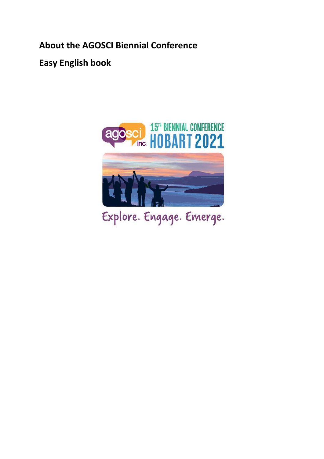**About the AGOSCI Biennial Conference**

**Easy English book**



Explore. Engage. Emerge.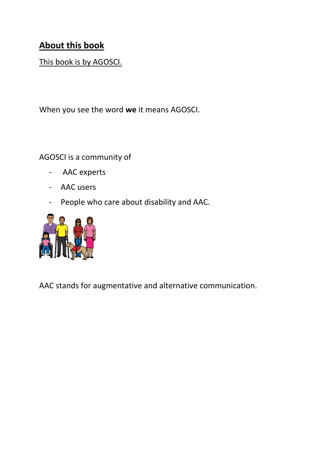## **About this book**

## This book is by AGOSCI.

When you see the word **we** it means AGOSCI.

AGOSCI is a community of

- AAC experts
- AAC users
- People who care about disability and AAC.



AAC stands for augmentative and alternative communication.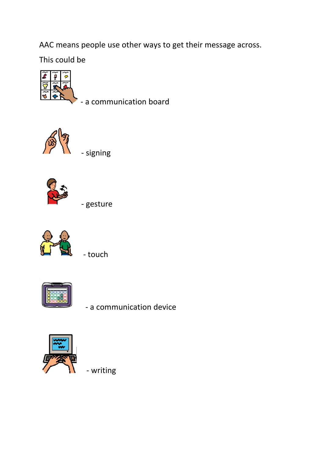AAC means people use other ways to get their message across.

This could be



- a communication board



- signing



- gesture



- touch



- a communication device



- writing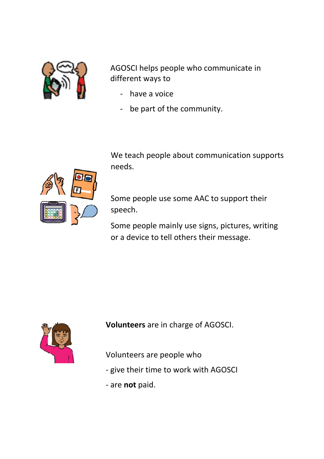

AGOSCI helps people who communicate in different ways to

- have a voice
- be part of the community.

We teach people about communication supports needs.

Some people use some AAC to support their speech.

Some people mainly use signs, pictures, writing or a device to tell others their message.



**Volunteers** are in charge of AGOSCI.

Volunteers are people who

- give their time to work with AGOSCI
- are **not** paid.

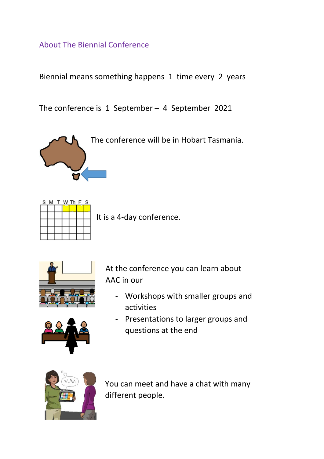About The Biennial Conference

i

Biennial means something happens 1 time every 2 years

The conference is 1 September – 4 September 2021

The conference will be in Hobart Tasmania.



It is a 4-day conference.



At the conference you can learn about AAC in our

- Workshops with smaller groups and activities



- Presentations to larger groups and questions at the end



You can meet and have a chat with many different people.